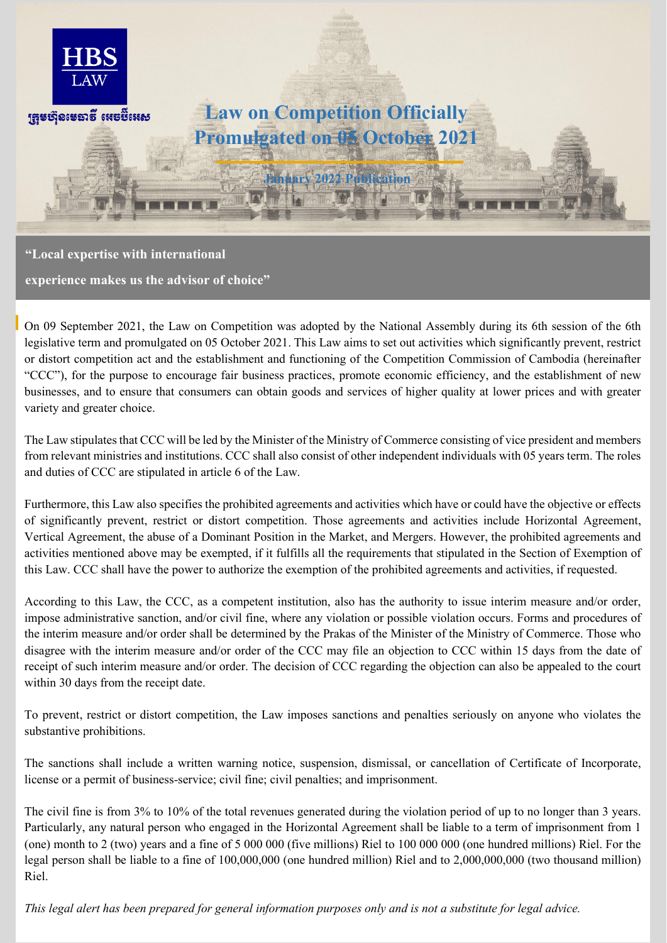

**experience makes us the advisor of choice"**

On 09 September 2021, the Law on Competition was adopted by the National Assembly during its 6th session of the 6th legislative term and promulgated on 05 October 2021. This Law aims to set out activities which significantly prevent, restrict or distort competition act and the establishment and functioning of the Competition Commission of Cambodia (hereinafter "CCC"), for the purpose to encourage fair business practices, promote economic efficiency, and the establishment of new businesses, and to ensure that consumers can obtain goods and services of higher quality at lower prices and with greater variety and greater choice.

The Law stipulates that CCC will be led by the Minister of the Ministry of Commerce consisting of vice president and members from relevant ministries and institutions. CCC shall also consist of other independent individuals with 05 years term. The roles and duties of CCC are stipulated in article 6 of the Law.

Furthermore, this Law also specifies the prohibited agreements and activities which have or could have the objective or effects of significantly prevent, restrict or distort competition. Those agreements and activities include Horizontal Agreement, Vertical Agreement, the abuse of a Dominant Position in the Market, and Mergers. However, the prohibited agreements and activities mentioned above may be exempted, if it fulfills all the requirements that stipulated in the Section of Exemption of this Law. CCC shall have the power to authorize the exemption of the prohibited agreements and activities, if requested.

According to this Law, the CCC, as a competent institution, also has the authority to issue interim measure and/or order, impose administrative sanction, and/or civil fine, where any violation or possible violation occurs. Forms and procedures of the interim measure and/or order shall be determined by the Prakas of the Minister of the Ministry of Commerce. Those who disagree with the interim measure and/or order of the CCC may file an objection to CCC within 15 days from the date of receipt of such interim measure and/or order. The decision of CCC regarding the objection can also be appealed to the court within 30 days from the receipt date.

To prevent, restrict or distort competition, the Law imposes sanctions and penalties seriously on anyone who violates the substantive prohibitions.

The sanctions shall include a written warning notice, suspension, dismissal, or cancellation of Certificate of Incorporate, license or a permit of business-service; civil fine; civil penalties; and imprisonment.

The civil fine is from 3% to 10% of the total revenues generated during the violation period of up to no longer than 3 years. Particularly, any natural person who engaged in the Horizontal Agreement shall be liable to a term of imprisonment from 1 (one) month to 2 (two) years and a fine of 5 000 000 (five millions) Riel to 100 000 000 (one hundred millions) Riel. For the legal person shall be liable to a fine of 100,000,000 (one hundred million) Riel and to 2,000,000,000 (two thousand million) Riel.

*This legal alert has been prepared for general information purposes only and is not a substitute for legal advice.*